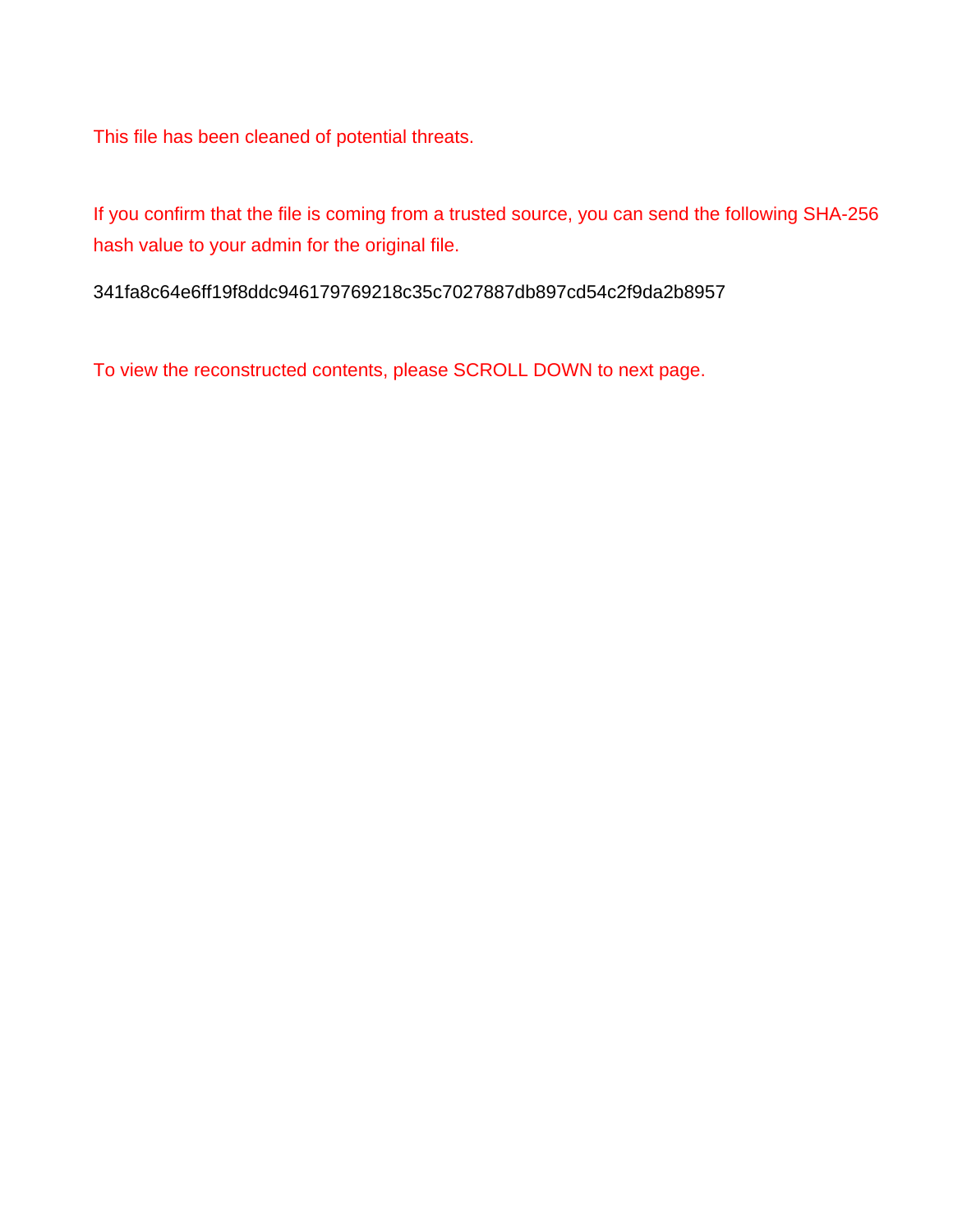This file has been cleaned of potential threats.

If you confirm that the file is coming from a trusted source, you can send the following SHA-256 hash value to your admin for the original file.

341fa8c64e6ff19f8ddc946179769218c35c7027887db897cd54c2f9da2b8957

To view the reconstructed contents, please SCROLL DOWN to next page.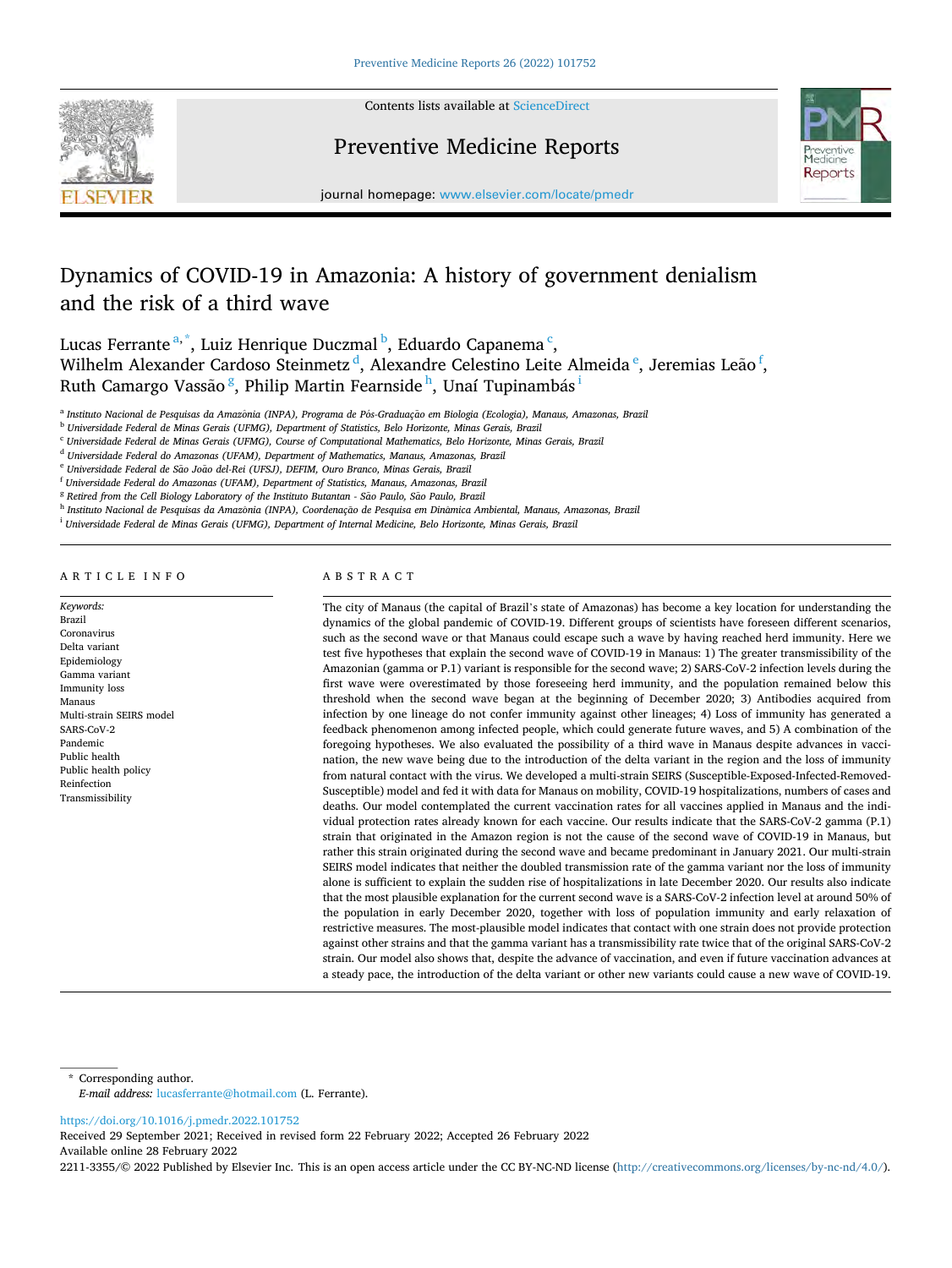

Contents lists available at ScienceDirect

# Preventive Medicine Reports



journal homepage: www.elsevier.com/locate/pmedr

# Dynamics of COVID-19 in Amazonia: A history of government denialism and the risk of a third wave

Lucas Ferrante<sup>a,\*</sup>, Luiz Henrique Duczmal <sup>b</sup>, Eduardo Capanema <sup>c</sup>, Wilhelm Alexander Cardoso Steinmetz<sup>d</sup>, Alexandre Celestino Leite Almeida<sup>e</sup>, Jeremias Leão<sup>f</sup>, Ruth Camargo Vassão $\frac{8}{9}$ , Philip Martin Fearnside $^{\rm h}$ , Unaí Tupinambás $^{\rm i}$ 

<sup>a</sup> Instituto Nacional de Pesquisas da Amazônia (INPA), Programa de Pós-Graduação em Biologia (Ecologia), Manaus, Amazonas, Brazil

<sup>b</sup> *Universidade Federal de Minas Gerais (UFMG), Department of Statistics, Belo Horizonte, Minas Gerais, Brazil* 

<sup>c</sup> *Universidade Federal de Minas Gerais (UFMG), Course of Computational Mathematics, Belo Horizonte, Minas Gerais, Brazil* 

<sup>d</sup> *Universidade Federal do Amazonas (UFAM), Department of Mathematics, Manaus, Amazonas, Brazil* 

<sup>f</sup> *Universidade Federal do Amazonas (UFAM), Department of Statistics, Manaus, Amazonas, Brazil* 

<sup>g</sup> Retired from the Cell Biology Laboratory of the Instituto Butantan - São Paulo, São Paulo, Brazil

<sup>h</sup> Instituto Nacional de Pesquisas da Amazônia (INPA), Coordenação de Pesquisa em Dinâmica Ambiental, Manaus, Amazonas, Brazil

<sup>i</sup> *Universidade Federal de Minas Gerais (UFMG), Department of Internal Medicine, Belo Horizonte, Minas Gerais, Brazil* 

A R T I C L E I N F O

*Keywords:*  Brazil Coronavirus Delta variant Epidemiology Gamma variant Immunity loss Manaus Multi-strain SEIRS model SARS-CoV-2 Pandemic Public health Public health policy Reinfection Transmissibility

# ABSTRACT

The city of Manaus (the capital of Brazil's state of Amazonas) has become a key location for understanding the dynamics of the global pandemic of COVID-19. Different groups of scientists have foreseen different scenarios, such as the second wave or that Manaus could escape such a wave by having reached herd immunity. Here we test five hypotheses that explain the second wave of COVID-19 in Manaus: 1) The greater transmissibility of the Amazonian (gamma or P.1) variant is responsible for the second wave; 2) SARS-CoV-2 infection levels during the first wave were overestimated by those foreseeing herd immunity, and the population remained below this threshold when the second wave began at the beginning of December 2020; 3) Antibodies acquired from infection by one lineage do not confer immunity against other lineages; 4) Loss of immunity has generated a feedback phenomenon among infected people, which could generate future waves, and 5) A combination of the foregoing hypotheses. We also evaluated the possibility of a third wave in Manaus despite advances in vaccination, the new wave being due to the introduction of the delta variant in the region and the loss of immunity from natural contact with the virus. We developed a multi-strain SEIRS (Susceptible-Exposed-Infected-Removed-Susceptible) model and fed it with data for Manaus on mobility, COVID-19 hospitalizations, numbers of cases and deaths. Our model contemplated the current vaccination rates for all vaccines applied in Manaus and the individual protection rates already known for each vaccine. Our results indicate that the SARS-CoV-2 gamma (P.1) strain that originated in the Amazon region is not the cause of the second wave of COVID-19 in Manaus, but rather this strain originated during the second wave and became predominant in January 2021. Our multi-strain SEIRS model indicates that neither the doubled transmission rate of the gamma variant nor the loss of immunity alone is sufficient to explain the sudden rise of hospitalizations in late December 2020. Our results also indicate that the most plausible explanation for the current second wave is a SARS-CoV-2 infection level at around 50% of the population in early December 2020, together with loss of population immunity and early relaxation of restrictive measures. The most-plausible model indicates that contact with one strain does not provide protection against other strains and that the gamma variant has a transmissibility rate twice that of the original SARS-CoV-2 strain. Our model also shows that, despite the advance of vaccination, and even if future vaccination advances at a steady pace, the introduction of the delta variant or other new variants could cause a new wave of COVID-19.

\* Corresponding author.

https://doi.org/10.1016/j.pmedr.2022.101752

Available online 28 February 2022 Received 29 September 2021; Received in revised form 22 February 2022; Accepted 26 February 2022

2211-3355/© 2022 Published by Elsevier Inc. This is an open access article under the CC BY-NC-ND license (http://creativecommons.org/licenses/by-nc-nd/4.0/).

<sup>&</sup>lt;sup>e</sup> Universidade Federal de São João del-Rei (UFSJ), DEFIM, Ouro Branco, Minas Gerais, Brazil

*E-mail address:* lucasferrante@hotmail.com (L. Ferrante).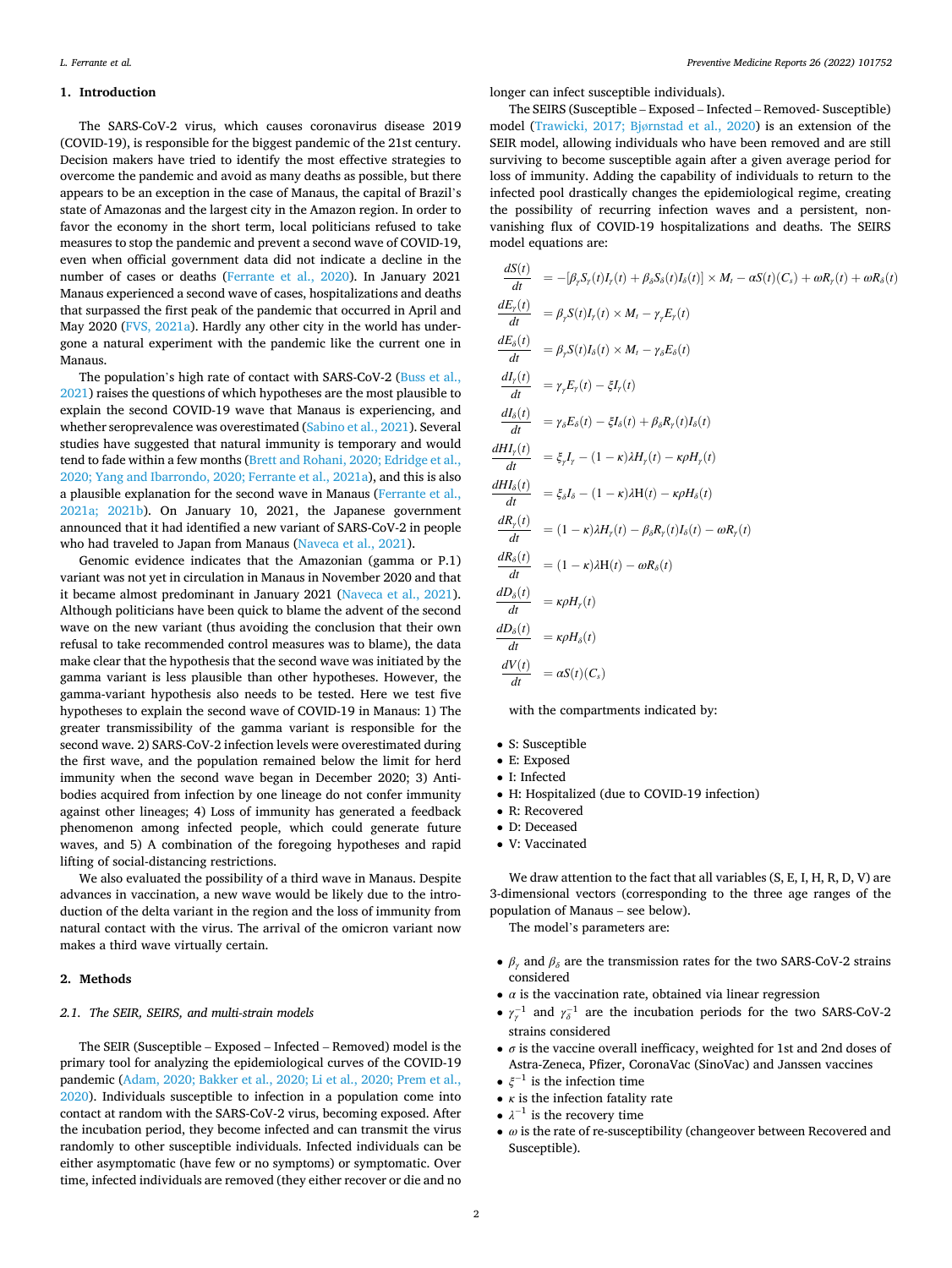# **1. Introduction**

The SARS-CoV-2 virus, which causes coronavirus disease 2019 (COVID-19), is responsible for the biggest pandemic of the 21st century. Decision makers have tried to identify the most effective strategies to overcome the pandemic and avoid as many deaths as possible, but there appears to be an exception in the case of Manaus, the capital of Brazil's state of Amazonas and the largest city in the Amazon region. In order to favor the economy in the short term, local politicians refused to take measures to stop the pandemic and prevent a second wave of COVID-19, even when official government data did not indicate a decline in the number of cases or deaths [\(Ferrante et al., 2020\)](#page-9-0). In January 2021 Manaus experienced a second wave of cases, hospitalizations and deaths that surpassed the first peak of the pandemic that occurred in April and May 2020 ([FVS, 2021a](#page-9-0)). Hardly any other city in the world has undergone a natural experiment with the pandemic like the current one in Manaus.

The population's high rate of contact with SARS-CoV-2 ([Buss et al.,](#page-9-0)  [2021\)](#page-9-0) raises the questions of which hypotheses are the most plausible to explain the second COVID-19 wave that Manaus is experiencing, and whether seroprevalence was overestimated ([Sabino et al., 2021](#page-10-0)). Several studies have suggested that natural immunity is temporary and would tend to fade within a few months ([Brett and Rohani, 2020; Edridge et al.,](#page-9-0)  [2020; Yang and Ibarrondo, 2020; Ferrante et al., 2021a](#page-9-0)), and this is also a plausible explanation for the second wave in Manaus ([Ferrante et al.,](#page-9-0)  [2021a; 2021b\)](#page-9-0). On January 10, 2021, the Japanese government announced that it had identified a new variant of SARS-CoV-2 in people who had traveled to Japan from Manaus ([Naveca et al., 2021\)](#page-10-0).

Genomic evidence indicates that the Amazonian (gamma or P.1) variant was not yet in circulation in Manaus in November 2020 and that it became almost predominant in January 2021 ([Naveca et al., 2021](#page-10-0)). Although politicians have been quick to blame the advent of the second wave on the new variant (thus avoiding the conclusion that their own refusal to take recommended control measures was to blame), the data make clear that the hypothesis that the second wave was initiated by the gamma variant is less plausible than other hypotheses. However, the gamma-variant hypothesis also needs to be tested. Here we test five hypotheses to explain the second wave of COVID-19 in Manaus: 1) The greater transmissibility of the gamma variant is responsible for the second wave. 2) SARS-CoV-2 infection levels were overestimated during the first wave, and the population remained below the limit for herd immunity when the second wave began in December 2020; 3) Antibodies acquired from infection by one lineage do not confer immunity against other lineages; 4) Loss of immunity has generated a feedback phenomenon among infected people, which could generate future waves, and 5) A combination of the foregoing hypotheses and rapid lifting of social-distancing restrictions.

We also evaluated the possibility of a third wave in Manaus. Despite advances in vaccination, a new wave would be likely due to the introduction of the delta variant in the region and the loss of immunity from natural contact with the virus. The arrival of the omicron variant now makes a third wave virtually certain.

# **2. Methods**

# *2.1. The SEIR, SEIRS, and multi-strain models*

The SEIR (Susceptible – Exposed – Infected – Removed) model is the primary tool for analyzing the epidemiological curves of the COVID-19 pandemic [\(Adam, 2020; Bakker et al., 2020; Li et al., 2020; Prem et al.,](#page-9-0)  [2020\)](#page-9-0). Individuals susceptible to infection in a population come into contact at random with the SARS-CoV-2 virus, becoming exposed. After the incubation period, they become infected and can transmit the virus randomly to other susceptible individuals. Infected individuals can be either asymptomatic (have few or no symptoms) or symptomatic. Over time, infected individuals are removed (they either recover or die and no

longer can infect susceptible individuals).

The SEIRS (Susceptible – Exposed – Infected – Removed- Susceptible) model (Trawicki, 2017; Bjø[rnstad et al., 2020\)](#page-10-0) is an extension of the SEIR model, allowing individuals who have been removed and are still surviving to become susceptible again after a given average period for loss of immunity. Adding the capability of individuals to return to the infected pool drastically changes the epidemiological regime, creating the possibility of recurring infection waves and a persistent, nonvanishing flux of COVID-19 hospitalizations and deaths. The SEIRS model equations are:

$$
\frac{dS(t)}{dt} = -[\beta_r S_r(t)I_r(t) + \beta_s S_\delta(t)I_\delta(t)] \times M_t - \alpha S(t)(C_s) + \omega R_r(t) + \omega R_\delta(t)
$$
\n
$$
\frac{dE_r(t)}{dt} = \beta_r S(t)I_r(t) \times M_t - \gamma_r E_r(t)
$$
\n
$$
\frac{dE_\delta(t)}{dt} = \beta_r S(t)I_\delta(t) \times M_t - \gamma_\delta E_\delta(t)
$$
\n
$$
\frac{dI_r(t)}{dt} = \gamma_r E_r(t) - \xi I_r(t)
$$
\n
$$
\frac{dI_\delta(t)}{dt} = \gamma_s E_\delta(t) - \xi I_\delta(t) + \beta_s R_r(t)I_\delta(t)
$$
\n
$$
\frac{dH I_r(t)}{dt} = \xi_r I_r - (1 - \kappa)\lambda H_r(t) - \kappa \rho H_r(t)
$$
\n
$$
\frac{dH I_\delta(t)}{dt} = \xi_s I_\delta - (1 - \kappa)\lambda H(t) - \kappa \rho H_\delta(t)
$$
\n
$$
\frac{dR_r(t)}{dt} = (1 - \kappa)\lambda H_r(t) - \beta_s R_r(t)I_\delta(t) - \omega R_r(t)
$$
\n
$$
\frac{dR_\delta(t)}{dt} = (1 - \kappa)\lambda H(t) - \omega R_\delta(t)
$$
\n
$$
\frac{dD_\delta(t)}{dt} = \kappa \rho H_r(t)
$$
\n
$$
\frac{dD_\delta(t)}{dt} = \kappa \rho H_\delta(t)
$$
\n
$$
\frac{dV(t)}{dt} = \alpha S(t)(C_s)
$$

with the compartments indicated by:

- S: Susceptible
- E: Exposed
- I: Infected
- H: Hospitalized (due to COVID-19 infection)
- R: Recovered
- D: Deceased
- V: Vaccinated

We draw attention to the fact that all variables  $(S, E, I, H, R, D, V)$  are 3-dimensional vectors (corresponding to the three age ranges of the population of Manaus – see below).

The model's parameters are:

- $\beta_{\gamma}$  and  $\beta_{\delta}$  are the transmission rates for the two SARS-CoV-2 strains considered
- $\bullet$  *α* is the vaccination rate, obtained via linear regression
- $\gamma_{\gamma}^{-1}$  and  $\gamma_{\delta}^{-1}$  are the incubation periods for the two SARS-CoV-2 strains considered
- $\bullet$  *σ* is the vaccine overall inefficacy, weighted for 1st and 2nd doses of Astra-Zeneca, Pfizer, CoronaVac (SinoVac) and Janssen vaccines
- $\bullet\ \xi^{-1}$  is the infection time
- *κ* is the infection fatality rate
- $\lambda^{-1}$  is the recovery time
- *ω* is the rate of re-susceptibility (changeover between Recovered and Susceptible).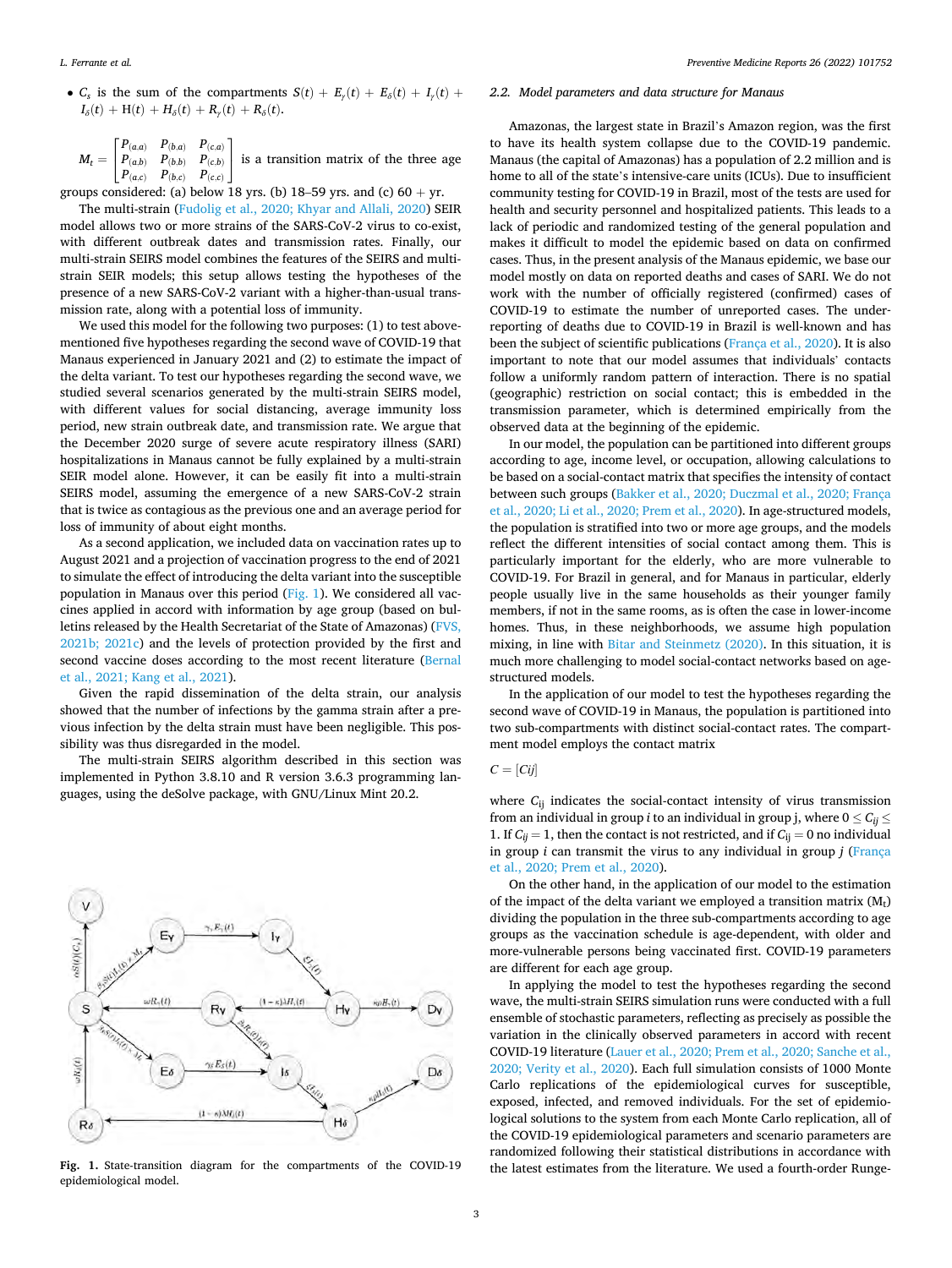<span id="page-3-0"></span>• *C<sub>s</sub>* is the sum of the compartments  $S(t) + E_y(t) + E_\delta(t) + I_y(t) +$  $I_{\delta}(t) + H(t) + H_{\delta}(t) + R_{\gamma}(t) + R_{\delta}(t).$ 

 $M_t =$  $\overline{a}$  $\begin{bmatrix} P_{(a,a)} & P_{(b,a)} & P_{(c,a)} \\ P_{(a,b)} & P_{(b,b)} & P_{(c,b)} \end{bmatrix}$  $P_{(a,b)}$   $P_{(b,b)}$   $P_{(c,b)}$  $P_{(a,c)}$   $P_{(b,c)}$   $P_{(c,c)}$  $\overline{a}$ ⎦ is a transition matrix of the three age

groups considered: (a) below 18 yrs. (b) 18–59 yrs. and (c)  $60 + yr$ .

The multi-strain [\(Fudolig et al., 2020; Khyar and Allali, 2020\)](#page-9-0) SEIR model allows two or more strains of the SARS-CoV-2 virus to co-exist, with different outbreak dates and transmission rates. Finally, our multi-strain SEIRS model combines the features of the SEIRS and multistrain SEIR models; this setup allows testing the hypotheses of the presence of a new SARS-CoV-2 variant with a higher-than-usual transmission rate, along with a potential loss of immunity.

We used this model for the following two purposes: (1) to test abovementioned five hypotheses regarding the second wave of COVID-19 that Manaus experienced in January 2021 and (2) to estimate the impact of the delta variant. To test our hypotheses regarding the second wave, we studied several scenarios generated by the multi-strain SEIRS model, with different values for social distancing, average immunity loss period, new strain outbreak date, and transmission rate. We argue that the December 2020 surge of severe acute respiratory illness (SARI) hospitalizations in Manaus cannot be fully explained by a multi-strain SEIR model alone. However, it can be easily fit into a multi-strain SEIRS model, assuming the emergence of a new SARS-CoV-2 strain that is twice as contagious as the previous one and an average period for loss of immunity of about eight months.

As a second application, we included data on vaccination rates up to August 2021 and a projection of vaccination progress to the end of 2021 to simulate the effect of introducing the delta variant into the susceptible population in Manaus over this period (Fig. 1). We considered all vaccines applied in accord with information by age group (based on bulletins released by the Health Secretariat of the State of Amazonas) ([FVS,](#page-9-0)  [2021b; 2021c](#page-9-0)) and the levels of protection provided by the first and second vaccine doses according to the most recent literature ([Bernal](#page-9-0)  [et al., 2021; Kang et al., 2021\)](#page-9-0).

Given the rapid dissemination of the delta strain, our analysis showed that the number of infections by the gamma strain after a previous infection by the delta strain must have been negligible. This possibility was thus disregarded in the model.

The multi-strain SEIRS algorithm described in this section was implemented in Python 3.8.10 and R version 3.6.3 programming languages, using the deSolve package, with GNU/Linux Mint 20.2.



epidemiological model.

## *2.2. Model parameters and data structure for Manaus*

Amazonas, the largest state in Brazil's Amazon region, was the first to have its health system collapse due to the COVID-19 pandemic. Manaus (the capital of Amazonas) has a population of 2.2 million and is home to all of the state's intensive-care units (ICUs). Due to insufficient community testing for COVID-19 in Brazil, most of the tests are used for health and security personnel and hospitalized patients. This leads to a lack of periodic and randomized testing of the general population and makes it difficult to model the epidemic based on data on confirmed cases. Thus, in the present analysis of the Manaus epidemic, we base our model mostly on data on reported deaths and cases of SARI. We do not work with the number of officially registered (confirmed) cases of COVID-19 to estimate the number of unreported cases. The underreporting of deaths due to COVID-19 in Brazil is well-known and has been the subject of scientific publications [\(França et al., 2020](#page-9-0)). It is also important to note that our model assumes that individuals' contacts follow a uniformly random pattern of interaction. There is no spatial (geographic) restriction on social contact; this is embedded in the transmission parameter, which is determined empirically from the observed data at the beginning of the epidemic.

In our model, the population can be partitioned into different groups according to age, income level, or occupation, allowing calculations to be based on a social-contact matrix that specifies the intensity of contact between such groups ([Bakker et al., 2020; Duczmal et al., 2020; França](#page-9-0)  [et al., 2020; Li et al., 2020; Prem et al., 2020\)](#page-9-0). In age-structured models, the population is stratified into two or more age groups, and the models reflect the different intensities of social contact among them. This is particularly important for the elderly, who are more vulnerable to COVID-19. For Brazil in general, and for Manaus in particular, elderly people usually live in the same households as their younger family members, if not in the same rooms, as is often the case in lower-income homes. Thus, in these neighborhoods, we assume high population mixing, in line with [Bitar and Steinmetz \(2020\).](#page-9-0) In this situation, it is much more challenging to model social-contact networks based on agestructured models.

In the application of our model to test the hypotheses regarding the second wave of COVID-19 in Manaus, the population is partitioned into two sub-compartments with distinct social-contact rates. The compartment model employs the contact matrix

 $C = [Cij]$ 

where *C*<sub>ij</sub> indicates the social-contact intensity of virus transmission from an individual in group *i* to an individual in group j, where  $0 \le C_{ij} \le$ 1. If  $C_{ij} = 1$ , then the contact is not restricted, and if  $C_{ij} = 0$  no individual in group *i* can transmit the virus to any individual in group *j* ([França](#page-9-0)  [et al., 2020; Prem et al., 2020](#page-9-0)).

On the other hand, in the application of our model to the estimation of the impact of the delta variant we employed a transition matrix  $(M_t)$ dividing the population in the three sub-compartments according to age groups as the vaccination schedule is age-dependent, with older and more-vulnerable persons being vaccinated first. COVID-19 parameters are different for each age group.

In applying the model to test the hypotheses regarding the second wave, the multi-strain SEIRS simulation runs were conducted with a full ensemble of stochastic parameters, reflecting as precisely as possible the variation in the clinically observed parameters in accord with recent COVID-19 literature [\(Lauer et al., 2020; Prem et al., 2020; Sanche et al.,](#page-10-0)  [2020; Verity et al., 2020](#page-10-0)). Each full simulation consists of 1000 Monte Carlo replications of the epidemiological curves for susceptible, exposed, infected, and removed individuals. For the set of epidemiological solutions to the system from each Monte Carlo replication, all of the COVID-19 epidemiological parameters and scenario parameters are randomized following their statistical distributions in accordance with Fig. 1. State-transition diagram for the compartments of the COVID-19 the latest estimates from the literature. We used a fourth-order Runge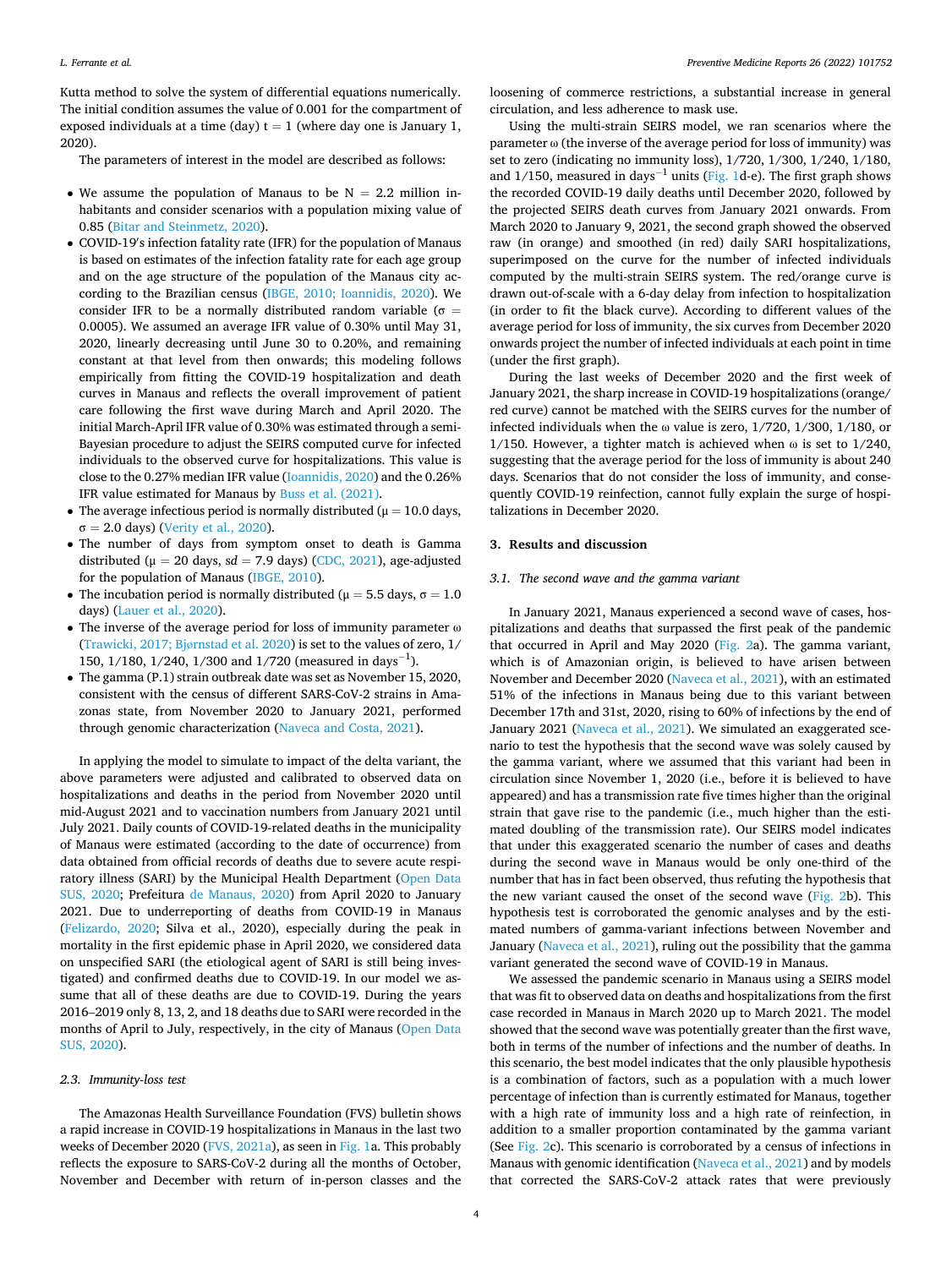Kutta method to solve the system of differential equations numerically. The initial condition assumes the value of 0.001 for the compartment of exposed individuals at a time (day)  $t = 1$  (where day one is January 1, 2020).

The parameters of interest in the model are described as follows:

- We assume the population of Manaus to be  $N = 2.2$  million inhabitants and consider scenarios with a population mixing value of 0.85 ([Bitar and Steinmetz, 2020\)](#page-9-0).
- COVID-19′ s infection fatality rate (IFR) for the population of Manaus is based on estimates of the infection fatality rate for each age group and on the age structure of the population of the Manaus city according to the Brazilian census [\(IBGE, 2010; Ioannidis, 2020](#page-10-0)). We consider IFR to be a normally distributed random variable ( $\sigma$  = 0.0005). We assumed an average IFR value of 0.30% until May 31, 2020, linearly decreasing until June 30 to 0.20%, and remaining constant at that level from then onwards; this modeling follows empirically from fitting the COVID-19 hospitalization and death curves in Manaus and reflects the overall improvement of patient care following the first wave during March and April 2020. The initial March-April IFR value of 0.30% was estimated through a semi-Bayesian procedure to adjust the SEIRS computed curve for infected individuals to the observed curve for hospitalizations. This value is close to the 0.27% median IFR value ([Ioannidis, 2020\)](#page-10-0) and the 0.26% IFR value estimated for Manaus by [Buss et al. \(2021\)](#page-9-0).
- The average infectious period is normally distributed ( $\mu = 10.0$  days,  $\sigma = 2.0$  days) ([Verity et al., 2020\)](#page-10-0).
- The number of days from symptom onset to death is Gamma distributed ( $\mu = 20$  days, sd = 7.9 days) [\(CDC, 2021](#page-9-0)), age-adjusted for the population of Manaus [\(IBGE, 2010](#page-10-0)).
- The incubation period is normally distributed ( $\mu = 5.5$  days,  $\sigma = 1.0$ days) ([Lauer et al., 2020](#page-10-0)).
- The inverse of the average period for loss of immunity parameter ω [\(Trawicki, 2017; Bj](#page-10-0)ørnstad et al. 2020) is set to the values of zero, 1/ 150, 1/180, 1/240, 1/300 and 1/720 (measured in days<sup>-1</sup>).
- The gamma (P.1) strain outbreak date was set as November 15, 2020, consistent with the census of different SARS-CoV-2 strains in Amazonas state, from November 2020 to January 2021, performed through genomic characterization ([Naveca and Costa, 2021](#page-10-0)).

In applying the model to simulate to impact of the delta variant, the above parameters were adjusted and calibrated to observed data on hospitalizations and deaths in the period from November 2020 until mid-August 2021 and to vaccination numbers from January 2021 until July 2021. Daily counts of COVID-19-related deaths in the municipality of Manaus were estimated (according to the date of occurrence) from data obtained from official records of deaths due to severe acute respiratory illness (SARI) by the Municipal Health Department ([Open Data](#page-10-0)  [SUS, 2020](#page-10-0); Prefeitura [de Manaus, 2020](#page-10-0)) from April 2020 to January 2021. Due to underreporting of deaths from COVID-19 in Manaus ([Felizardo, 2020;](#page-9-0) Silva et al., 2020), especially during the peak in mortality in the first epidemic phase in April 2020, we considered data on unspecified SARI (the etiological agent of SARI is still being investigated) and confirmed deaths due to COVID-19. In our model we assume that all of these deaths are due to COVID-19. During the years 2016–2019 only 8, 13, 2, and 18 deaths due to SARI were recorded in the months of April to July, respectively, in the city of Manaus [\(Open Data](#page-10-0)  [SUS, 2020](#page-10-0)).

#### *2.3. Immunity-loss test*

The Amazonas Health Surveillance Foundation (FVS) bulletin shows a rapid increase in COVID-19 hospitalizations in Manaus in the last two weeks of December 2020 [\(FVS, 2021a\)](#page-9-0), as seen in [Fig. 1](#page-3-0)a. This probably reflects the exposure to SARS-CoV-2 during all the months of October, November and December with return of in-person classes and the

loosening of commerce restrictions, a substantial increase in general circulation, and less adherence to mask use.

Using the multi-strain SEIRS model, we ran scenarios where the parameter ω (the inverse of the average period for loss of immunity) was set to zero (indicating no immunity loss), 1/720, 1/300, 1/240, 1/180, and 1/150, measured in days<sup>-1</sup> units ([Fig. 1d](#page-3-0)-e). The first graph shows the recorded COVID-19 daily deaths until December 2020, followed by the projected SEIRS death curves from January 2021 onwards. From March 2020 to January 9, 2021, the second graph showed the observed raw (in orange) and smoothed (in red) daily SARI hospitalizations, superimposed on the curve for the number of infected individuals computed by the multi-strain SEIRS system. The red/orange curve is drawn out-of-scale with a 6-day delay from infection to hospitalization (in order to fit the black curve). According to different values of the average period for loss of immunity, the six curves from December 2020 onwards project the number of infected individuals at each point in time (under the first graph).

During the last weeks of December 2020 and the first week of January 2021, the sharp increase in COVID-19 hospitalizations (orange/ red curve) cannot be matched with the SEIRS curves for the number of infected individuals when the ω value is zero, 1/720, 1/300, 1/180, or 1/150. However, a tighter match is achieved when  $\omega$  is set to 1/240, suggesting that the average period for the loss of immunity is about 240 days. Scenarios that do not consider the loss of immunity, and consequently COVID-19 reinfection, cannot fully explain the surge of hospitalizations in December 2020.

# **3. Results and discussion**

#### *3.1. The second wave and the gamma variant*

In January 2021, Manaus experienced a second wave of cases, hospitalizations and deaths that surpassed the first peak of the pandemic that occurred in April and May 2020 [\(Fig. 2](#page-5-0)a). The gamma variant, which is of Amazonian origin, is believed to have arisen between November and December 2020 [\(Naveca et al., 2021\)](#page-10-0), with an estimated 51% of the infections in Manaus being due to this variant between December 17th and 31st, 2020, rising to 60% of infections by the end of January 2021 ([Naveca et al., 2021\)](#page-10-0). We simulated an exaggerated scenario to test the hypothesis that the second wave was solely caused by the gamma variant, where we assumed that this variant had been in circulation since November 1, 2020 (i.e., before it is believed to have appeared) and has a transmission rate five times higher than the original strain that gave rise to the pandemic (i.e., much higher than the estimated doubling of the transmission rate). Our SEIRS model indicates that under this exaggerated scenario the number of cases and deaths during the second wave in Manaus would be only one-third of the number that has in fact been observed, thus refuting the hypothesis that the new variant caused the onset of the second wave ([Fig. 2b](#page-5-0)). This hypothesis test is corroborated the genomic analyses and by the estimated numbers of gamma-variant infections between November and January ([Naveca et al., 2021](#page-10-0)), ruling out the possibility that the gamma variant generated the second wave of COVID-19 in Manaus.

We assessed the pandemic scenario in Manaus using a SEIRS model that was fit to observed data on deaths and hospitalizations from the first case recorded in Manaus in March 2020 up to March 2021. The model showed that the second wave was potentially greater than the first wave, both in terms of the number of infections and the number of deaths. In this scenario, the best model indicates that the only plausible hypothesis is a combination of factors, such as a population with a much lower percentage of infection than is currently estimated for Manaus, together with a high rate of immunity loss and a high rate of reinfection, in addition to a smaller proportion contaminated by the gamma variant (See [Fig. 2](#page-5-0)c). This scenario is corroborated by a census of infections in Manaus with genomic identification ([Naveca et al., 2021\)](#page-10-0) and by models that corrected the SARS-CoV-2 attack rates that were previously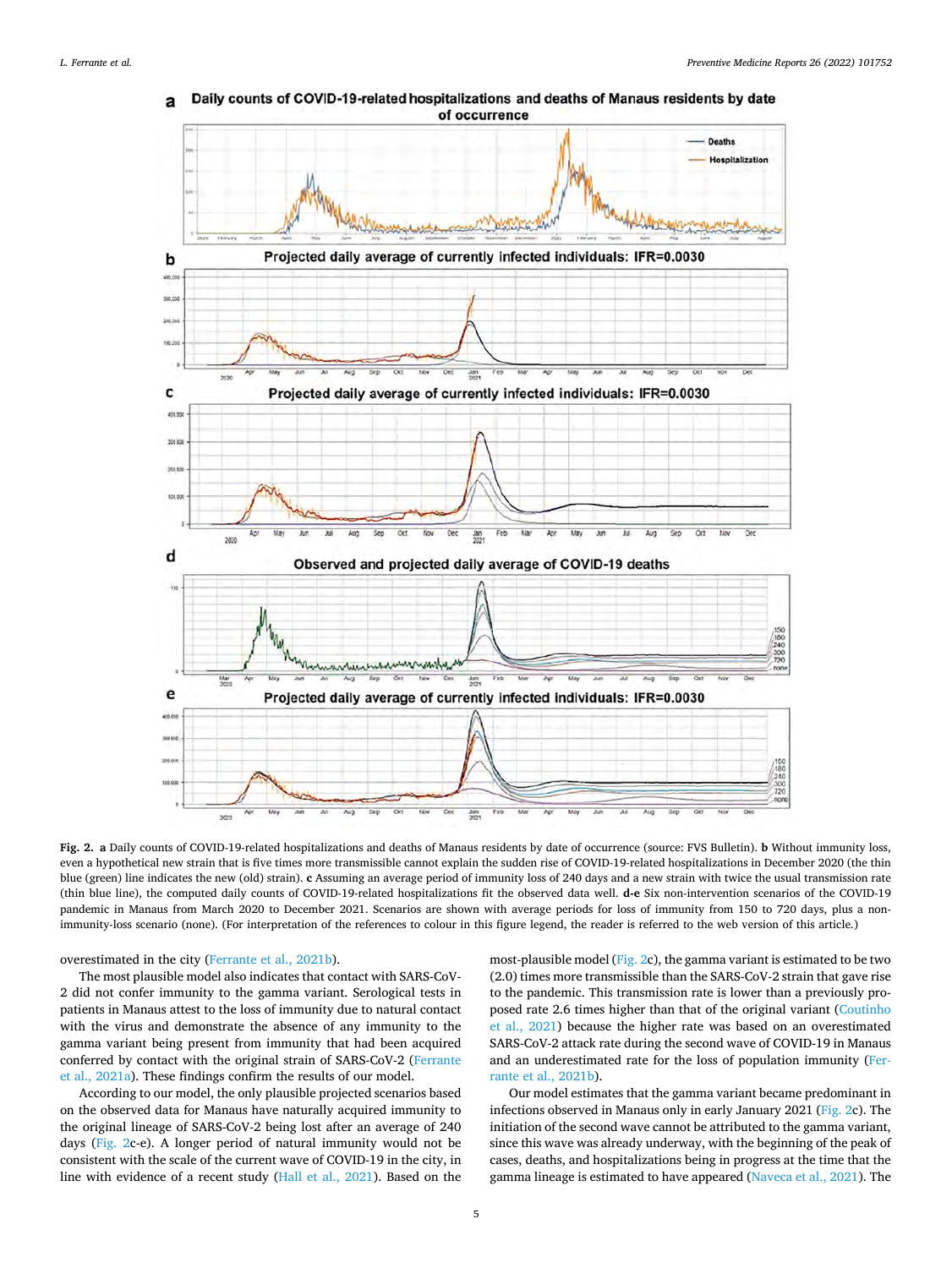

<span id="page-5-0"></span>Daily counts of COVID-19-related hospitalizations and deaths of Manaus residents by date of occurrence

**Fig. 2. a** Daily counts of COVID-19-related hospitalizations and deaths of Manaus residents by date of occurrence (source: FVS Bulletin). **b** Without immunity loss, even a hypothetical new strain that is five times more transmissible cannot explain the sudden rise of COVID-19-related hospitalizations in December 2020 (the thin blue (green) line indicates the new (old) strain). **c** Assuming an average period of immunity loss of 240 days and a new strain with twice the usual transmission rate (thin blue line), the computed daily counts of COVID-19-related hospitalizations fit the observed data well. **d-e** Six non-intervention scenarios of the COVID-19 pandemic in Manaus from March 2020 to December 2021. Scenarios are shown with average periods for loss of immunity from 150 to 720 days, plus a nonimmunity-loss scenario (none). (For interpretation of the references to colour in this figure legend, the reader is referred to the web version of this article.)

overestimated in the city [\(Ferrante et al., 2021b\)](#page-9-0).

The most plausible model also indicates that contact with SARS-CoV-2 did not confer immunity to the gamma variant. Serological tests in patients in Manaus attest to the loss of immunity due to natural contact with the virus and demonstrate the absence of any immunity to the gamma variant being present from immunity that had been acquired conferred by contact with the original strain of SARS-CoV-2 [\(Ferrante](#page-9-0)  [et al., 2021a\)](#page-9-0). These findings confirm the results of our model.

According to our model, the only plausible projected scenarios based on the observed data for Manaus have naturally acquired immunity to the original lineage of SARS-CoV-2 being lost after an average of 240 days (Fig. 2c-e). A longer period of natural immunity would not be consistent with the scale of the current wave of COVID-19 in the city, in line with evidence of a recent study [\(Hall et al., 2021\)](#page-9-0). Based on the

most-plausible model (Fig. 2c), the gamma variant is estimated to be two (2.0) times more transmissible than the SARS-CoV-2 strain that gave rise to the pandemic. This transmission rate is lower than a previously proposed rate 2.6 times higher than that of the original variant [\(Coutinho](#page-9-0)  [et al., 2021\)](#page-9-0) because the higher rate was based on an overestimated SARS-CoV-2 attack rate during the second wave of COVID-19 in Manaus and an underestimated rate for the loss of population immunity ([Fer](#page-9-0)[rante et al., 2021b\)](#page-9-0).

Our model estimates that the gamma variant became predominant in infections observed in Manaus only in early January 2021 (Fig. 2c). The initiation of the second wave cannot be attributed to the gamma variant, since this wave was already underway, with the beginning of the peak of cases, deaths, and hospitalizations being in progress at the time that the gamma lineage is estimated to have appeared [\(Naveca et al., 2021](#page-10-0)). The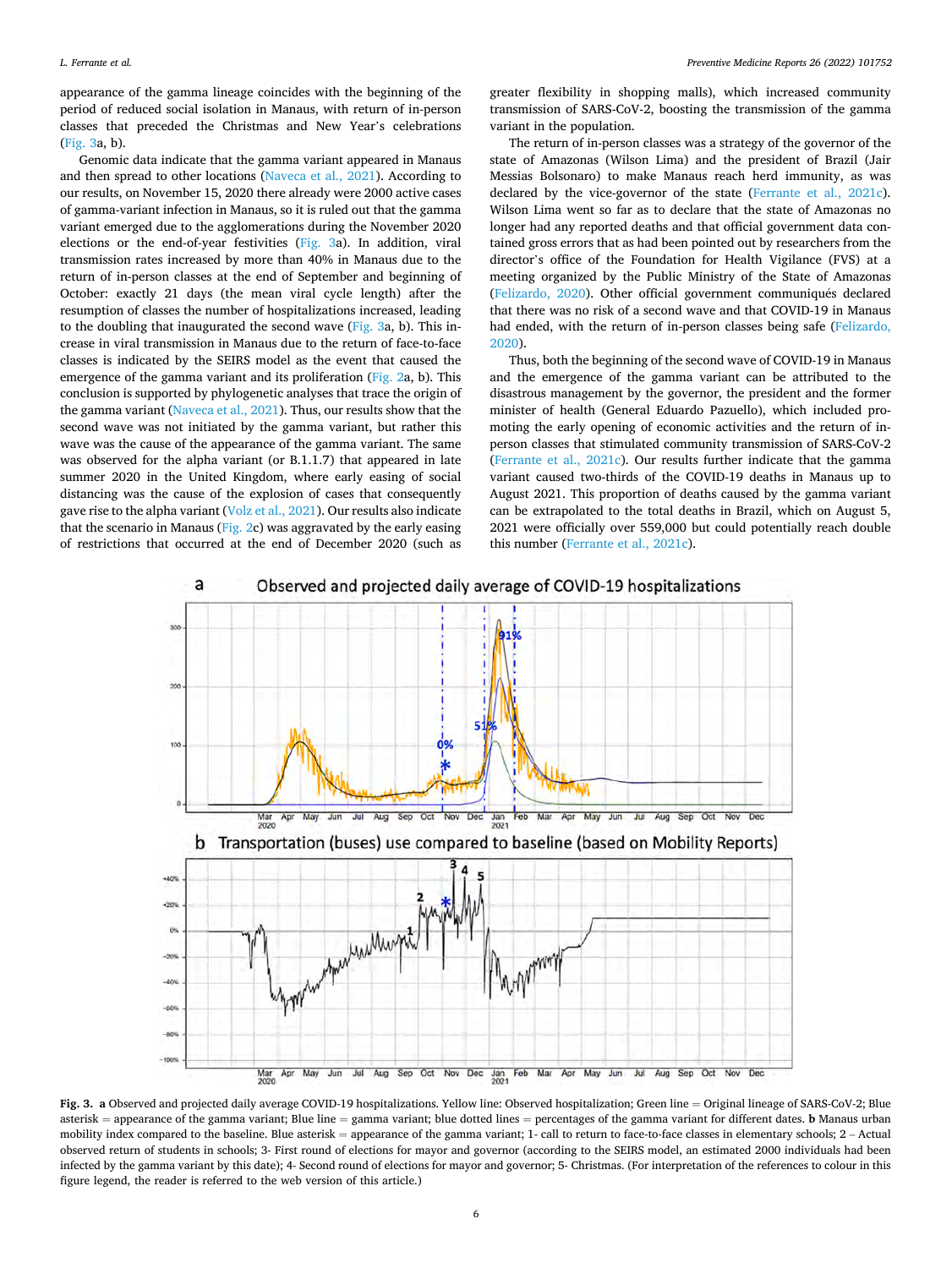appearance of the gamma lineage coincides with the beginning of the period of reduced social isolation in Manaus, with return of in-person classes that preceded the Christmas and New Year's celebrations (Fig. 3a, b).

Genomic data indicate that the gamma variant appeared in Manaus and then spread to other locations ([Naveca et al., 2021](#page-10-0)). According to our results, on November 15, 2020 there already were 2000 active cases of gamma-variant infection in Manaus, so it is ruled out that the gamma variant emerged due to the agglomerations during the November 2020 elections or the end-of-year festivities (Fig. 3a). In addition, viral transmission rates increased by more than 40% in Manaus due to the return of in-person classes at the end of September and beginning of October: exactly 21 days (the mean viral cycle length) after the resumption of classes the number of hospitalizations increased, leading to the doubling that inaugurated the second wave (Fig. 3a, b). This increase in viral transmission in Manaus due to the return of face-to-face classes is indicated by the SEIRS model as the event that caused the emergence of the gamma variant and its proliferation ([Fig. 2a](#page-5-0), b). This conclusion is supported by phylogenetic analyses that trace the origin of the gamma variant [\(Naveca et al., 2021\)](#page-10-0). Thus, our results show that the second wave was not initiated by the gamma variant, but rather this wave was the cause of the appearance of the gamma variant. The same was observed for the alpha variant (or B.1.1.7) that appeared in late summer 2020 in the United Kingdom, where early easing of social distancing was the cause of the explosion of cases that consequently gave rise to the alpha variant [\(Volz et al., 2021](#page-10-0)). Our results also indicate that the scenario in Manaus ( $Fig. 2c$  $Fig. 2c$ ) was aggravated by the early easing of restrictions that occurred at the end of December 2020 (such as greater flexibility in shopping malls), which increased community transmission of SARS-CoV-2, boosting the transmission of the gamma variant in the population.

The return of in-person classes was a strategy of the governor of the state of Amazonas (Wilson Lima) and the president of Brazil (Jair Messias Bolsonaro) to make Manaus reach herd immunity, as was declared by the vice-governor of the state [\(Ferrante et al., 2021c](#page-9-0)). Wilson Lima went so far as to declare that the state of Amazonas no longer had any reported deaths and that official government data contained gross errors that as had been pointed out by researchers from the director's office of the Foundation for Health Vigilance (FVS) at a meeting organized by the Public Ministry of the State of Amazonas ([Felizardo, 2020](#page-9-0)). Other official government communiqués declared that there was no risk of a second wave and that COVID-19 in Manaus had ended, with the return of in-person classes being safe ([Felizardo,](#page-9-0)  [2020\)](#page-9-0).

Thus, both the beginning of the second wave of COVID-19 in Manaus and the emergence of the gamma variant can be attributed to the disastrous management by the governor, the president and the former minister of health (General Eduardo Pazuello), which included promoting the early opening of economic activities and the return of inperson classes that stimulated community transmission of SARS-CoV-2 ([Ferrante et al., 2021c\)](#page-9-0). Our results further indicate that the gamma variant caused two-thirds of the COVID-19 deaths in Manaus up to August 2021. This proportion of deaths caused by the gamma variant can be extrapolated to the total deaths in Brazil, which on August 5, 2021 were officially over 559,000 but could potentially reach double this number ([Ferrante et al., 2021c\)](#page-9-0).



**Fig. 3. a** Observed and projected daily average COVID-19 hospitalizations. Yellow line: Observed hospitalization; Green line = Original lineage of SARS-CoV-2; Blue asterisk = appearance of the gamma variant; Blue line = gamma variant; blue dotted lines = percentages of the gamma variant for different dates. **b** Manaus urban mobility index compared to the baseline. Blue asterisk = appearance of the gamma variant; 1- call to return to face-to-face classes in elementary schools; 2 - Actual observed return of students in schools; 3- First round of elections for mayor and governor (according to the SEIRS model, an estimated 2000 individuals had been infected by the gamma variant by this date); 4- Second round of elections for mayor and governor; 5- Christmas. (For interpretation of the references to colour in this figure legend, the reader is referred to the web version of this article.)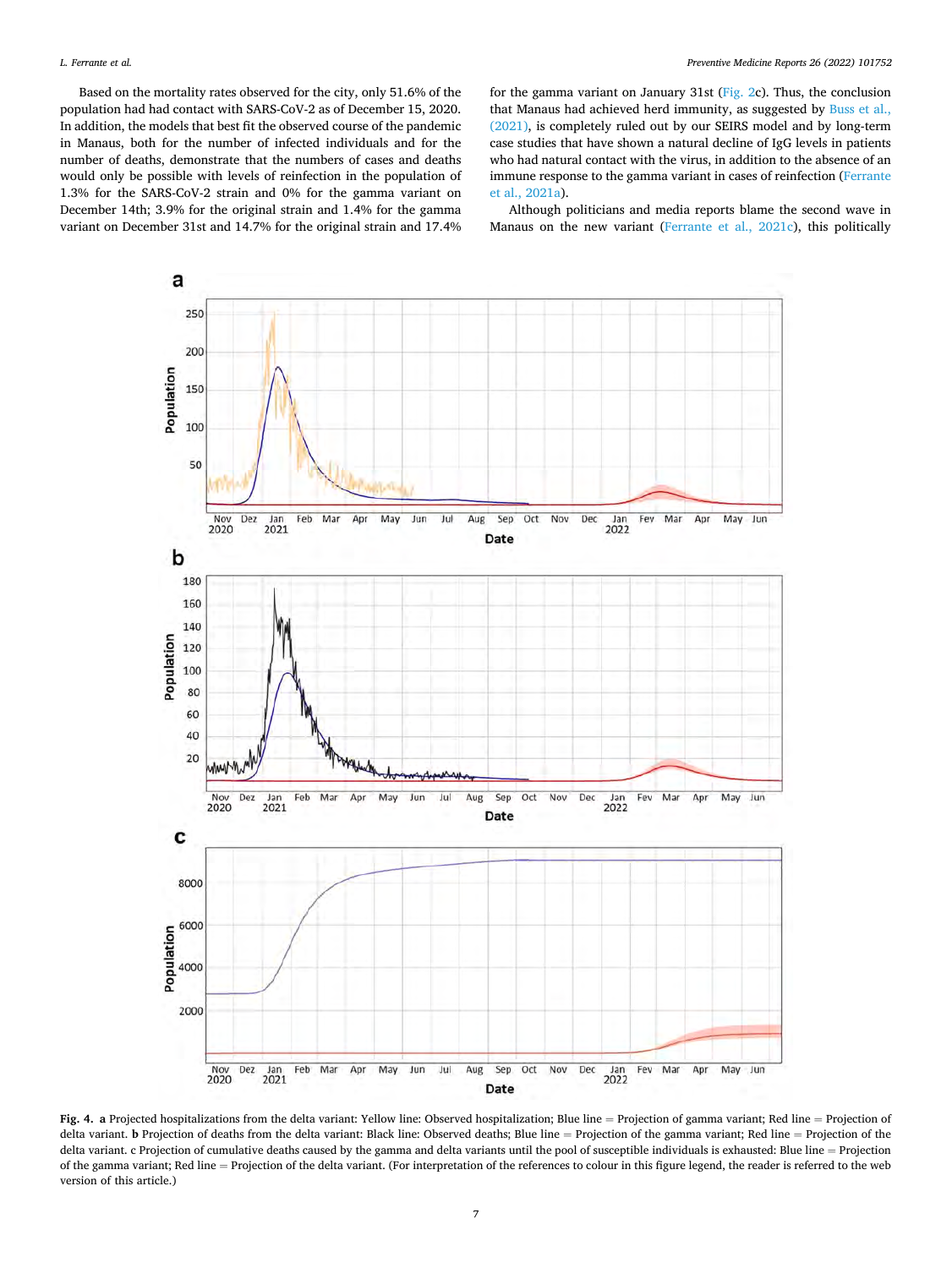<span id="page-7-0"></span>Based on the mortality rates observed for the city, only 51.6% of the population had had contact with SARS-CoV-2 as of December 15, 2020. In addition, the models that best fit the observed course of the pandemic in Manaus, both for the number of infected individuals and for the number of deaths, demonstrate that the numbers of cases and deaths would only be possible with levels of reinfection in the population of 1.3% for the SARS-CoV-2 strain and 0% for the gamma variant on December 14th; 3.9% for the original strain and 1.4% for the gamma variant on December 31st and 14.7% for the original strain and 17.4% for the gamma variant on January 31st [\(Fig. 2c](#page-5-0)). Thus, the conclusion that Manaus had achieved herd immunity, as suggested by [Buss et al.,](#page-9-0)  [\(2021\),](#page-9-0) is completely ruled out by our SEIRS model and by long-term case studies that have shown a natural decline of IgG levels in patients who had natural contact with the virus, in addition to the absence of an immune response to the gamma variant in cases of reinfection [\(Ferrante](#page-9-0)  [et al., 2021a\)](#page-9-0).

Although politicians and media reports blame the second wave in Manaus on the new variant ([Ferrante et al., 2021c](#page-9-0)), this politically



**Fig. 4. a** Projected hospitalizations from the delta variant: Yellow line: Observed hospitalization; Blue line = Projection of gamma variant; Red line = Projection of delta variant. **b** Projection of deaths from the delta variant: Black line: Observed deaths; Blue line = Projection of the gamma variant; Red line = Projection of the delta variant. c Projection of cumulative deaths caused by the gamma and delta variants until the pool of susceptible individuals is exhausted: Blue line = Projection of the gamma variant; Red line = Projection of the delta variant. (For interpretation of the references to colour in this figure legend, the reader is referred to the web version of this article.)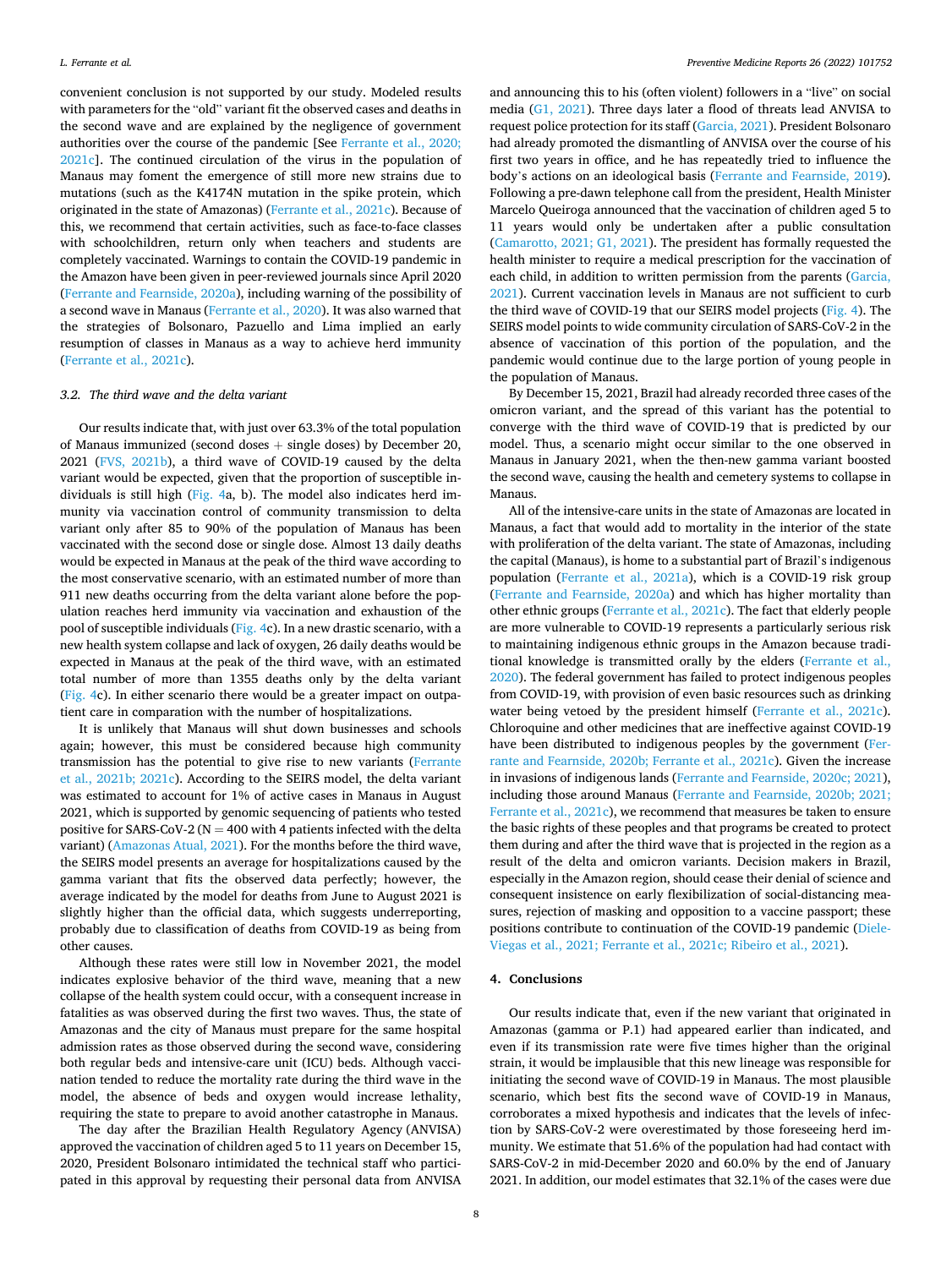convenient conclusion is not supported by our study. Modeled results with parameters for the "old" variant fit the observed cases and deaths in the second wave and are explained by the negligence of government authorities over the course of the pandemic [See [Ferrante et al., 2020;](#page-9-0)  [2021c](#page-9-0)]. The continued circulation of the virus in the population of Manaus may foment the emergence of still more new strains due to mutations (such as the K4174N mutation in the spike protein, which originated in the state of Amazonas) [\(Ferrante et al., 2021c](#page-9-0)). Because of this, we recommend that certain activities, such as face-to-face classes with schoolchildren, return only when teachers and students are completely vaccinated. Warnings to contain the COVID-19 pandemic in the Amazon have been given in peer-reviewed journals since April 2020 ([Ferrante and Fearnside, 2020a\)](#page-9-0), including warning of the possibility of a second wave in Manaus ([Ferrante et al., 2020](#page-9-0)). It was also warned that the strategies of Bolsonaro, Pazuello and Lima implied an early resumption of classes in Manaus as a way to achieve herd immunity ([Ferrante et al., 2021c\)](#page-9-0).

### *3.2. The third wave and the delta variant*

Our results indicate that, with just over 63.3% of the total population of Manaus immunized (second doses  $+$  single doses) by December 20, 2021 [\(FVS, 2021b\)](#page-9-0), a third wave of COVID-19 caused by the delta variant would be expected, given that the proportion of susceptible individuals is still high [\(Fig. 4](#page-7-0)a, b). The model also indicates herd immunity via vaccination control of community transmission to delta variant only after 85 to 90% of the population of Manaus has been vaccinated with the second dose or single dose. Almost 13 daily deaths would be expected in Manaus at the peak of the third wave according to the most conservative scenario, with an estimated number of more than 911 new deaths occurring from the delta variant alone before the population reaches herd immunity via vaccination and exhaustion of the pool of susceptible individuals ([Fig. 4c](#page-7-0)). In a new drastic scenario, with a new health system collapse and lack of oxygen, 26 daily deaths would be expected in Manaus at the peak of the third wave, with an estimated total number of more than 1355 deaths only by the delta variant ([Fig. 4c](#page-7-0)). In either scenario there would be a greater impact on outpatient care in comparation with the number of hospitalizations.

It is unlikely that Manaus will shut down businesses and schools again; however, this must be considered because high community transmission has the potential to give rise to new variants [\(Ferrante](#page-9-0)  [et al., 2021b; 2021c](#page-9-0)). According to the SEIRS model, the delta variant was estimated to account for 1% of active cases in Manaus in August 2021, which is supported by genomic sequencing of patients who tested positive for SARS-CoV-2 ( $N = 400$  with 4 patients infected with the delta variant) ([Amazonas Atual, 2021\)](#page-9-0). For the months before the third wave, the SEIRS model presents an average for hospitalizations caused by the gamma variant that fits the observed data perfectly; however, the average indicated by the model for deaths from June to August 2021 is slightly higher than the official data, which suggests underreporting, probably due to classification of deaths from COVID-19 as being from other causes.

Although these rates were still low in November 2021, the model indicates explosive behavior of the third wave, meaning that a new collapse of the health system could occur, with a consequent increase in fatalities as was observed during the first two waves. Thus, the state of Amazonas and the city of Manaus must prepare for the same hospital admission rates as those observed during the second wave, considering both regular beds and intensive-care unit (ICU) beds. Although vaccination tended to reduce the mortality rate during the third wave in the model, the absence of beds and oxygen would increase lethality, requiring the state to prepare to avoid another catastrophe in Manaus.

The day after the Brazilian Health Regulatory Agency (ANVISA) approved the vaccination of children aged 5 to 11 years on December 15, 2020, President Bolsonaro intimidated the technical staff who participated in this approval by requesting their personal data from ANVISA and announcing this to his (often violent) followers in a "live" on social media [\(G1, 2021](#page-9-0)). Three days later a flood of threats lead ANVISA to request police protection for its staff [\(Garcia, 2021](#page-9-0)). President Bolsonaro had already promoted the dismantling of ANVISA over the course of his first two years in office, and he has repeatedly tried to influence the body's actions on an ideological basis [\(Ferrante and Fearnside, 2019](#page-9-0)). Following a pre-dawn telephone call from the president, Health Minister Marcelo Queiroga announced that the vaccination of children aged 5 to 11 years would only be undertaken after a public consultation ([Camarotto, 2021; G1, 2021](#page-9-0)). The president has formally requested the health minister to require a medical prescription for the vaccination of each child, in addition to written permission from the parents ([Garcia,](#page-9-0)  [2021\)](#page-9-0). Current vaccination levels in Manaus are not sufficient to curb the third wave of COVID-19 that our SEIRS model projects [\(Fig. 4](#page-7-0)). The SEIRS model points to wide community circulation of SARS-CoV-2 in the absence of vaccination of this portion of the population, and the pandemic would continue due to the large portion of young people in the population of Manaus.

By December 15, 2021, Brazil had already recorded three cases of the omicron variant, and the spread of this variant has the potential to converge with the third wave of COVID-19 that is predicted by our model. Thus, a scenario might occur similar to the one observed in Manaus in January 2021, when the then-new gamma variant boosted the second wave, causing the health and cemetery systems to collapse in Manaus.

All of the intensive-care units in the state of Amazonas are located in Manaus, a fact that would add to mortality in the interior of the state with proliferation of the delta variant. The state of Amazonas, including the capital (Manaus), is home to a substantial part of Brazil's indigenous population [\(Ferrante et al., 2021a\)](#page-9-0), which is a COVID-19 risk group ([Ferrante and Fearnside, 2020a](#page-9-0)) and which has higher mortality than other ethnic groups ([Ferrante et al., 2021c](#page-9-0)). The fact that elderly people are more vulnerable to COVID-19 represents a particularly serious risk to maintaining indigenous ethnic groups in the Amazon because traditional knowledge is transmitted orally by the elders ([Ferrante et al.,](#page-9-0)  [2020\)](#page-9-0). The federal government has failed to protect indigenous peoples from COVID-19, with provision of even basic resources such as drinking water being vetoed by the president himself ([Ferrante et al., 2021c](#page-9-0)). Chloroquine and other medicines that are ineffective against COVID-19 have been distributed to indigenous peoples by the government ([Fer](#page-9-0)[rante and Fearnside, 2020b; Ferrante et al., 2021c\)](#page-9-0). Given the increase in invasions of indigenous lands ([Ferrante and Fearnside, 2020c; 2021](#page-9-0)), including those around Manaus ([Ferrante and Fearnside, 2020b; 2021;](#page-9-0)  [Ferrante et al., 2021c](#page-9-0)), we recommend that measures be taken to ensure the basic rights of these peoples and that programs be created to protect them during and after the third wave that is projected in the region as a result of the delta and omicron variants. Decision makers in Brazil, especially in the Amazon region, should cease their denial of science and consequent insistence on early flexibilization of social-distancing measures, rejection of masking and opposition to a vaccine passport; these positions contribute to continuation of the COVID-19 pandemic ([Diele-](#page-9-0)[Viegas et al., 2021; Ferrante et al., 2021c; Ribeiro et al., 2021\)](#page-9-0).

# **4. Conclusions**

Our results indicate that, even if the new variant that originated in Amazonas (gamma or P.1) had appeared earlier than indicated, and even if its transmission rate were five times higher than the original strain, it would be implausible that this new lineage was responsible for initiating the second wave of COVID-19 in Manaus. The most plausible scenario, which best fits the second wave of COVID-19 in Manaus, corroborates a mixed hypothesis and indicates that the levels of infection by SARS-CoV-2 were overestimated by those foreseeing herd immunity. We estimate that 51.6% of the population had had contact with SARS-CoV-2 in mid-December 2020 and 60.0% by the end of January 2021. In addition, our model estimates that 32.1% of the cases were due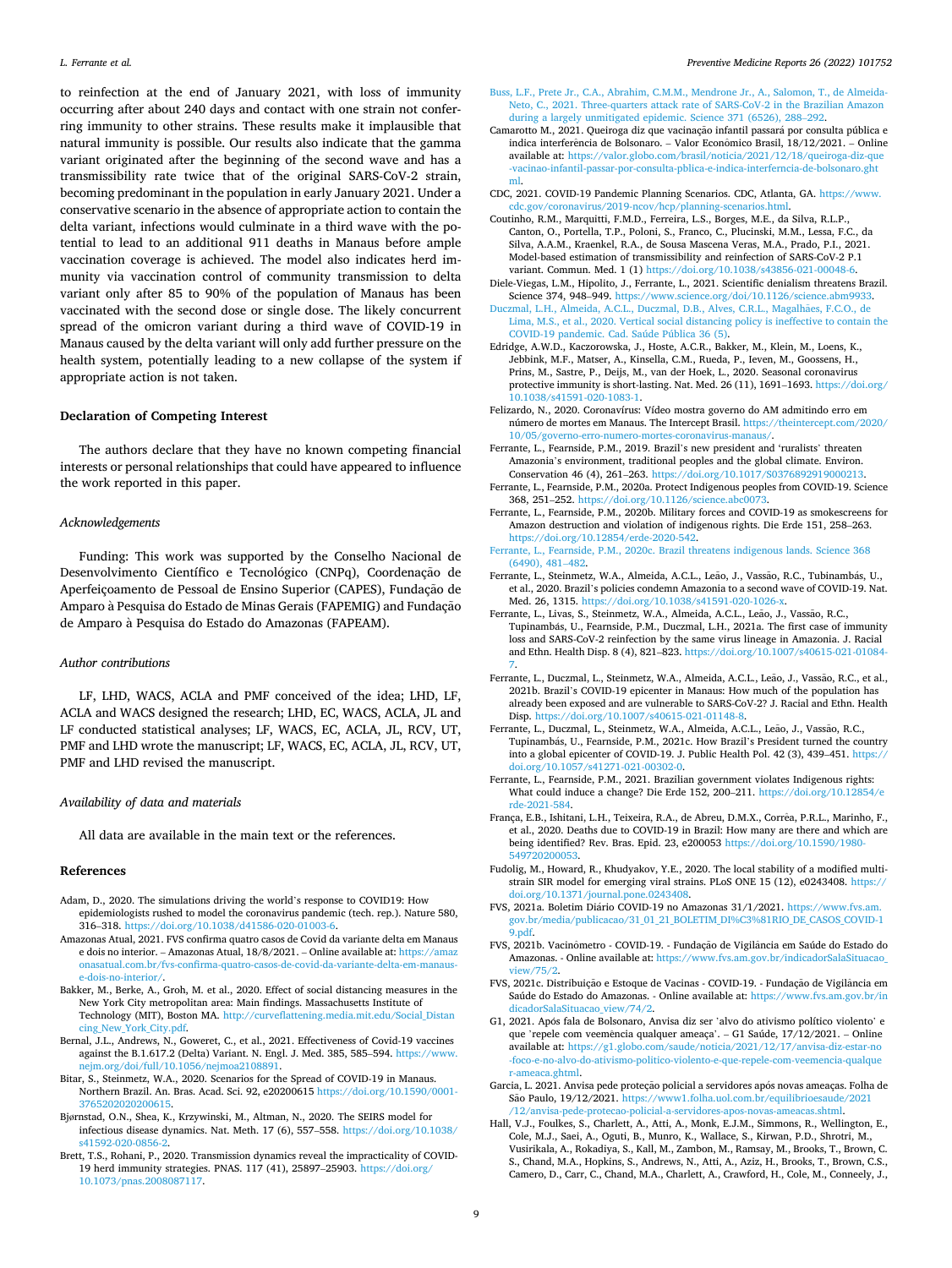<span id="page-9-0"></span>to reinfection at the end of January 2021, with loss of immunity occurring after about 240 days and contact with one strain not conferring immunity to other strains. These results make it implausible that natural immunity is possible. Our results also indicate that the gamma variant originated after the beginning of the second wave and has a transmissibility rate twice that of the original SARS-CoV-2 strain, becoming predominant in the population in early January 2021. Under a conservative scenario in the absence of appropriate action to contain the delta variant, infections would culminate in a third wave with the potential to lead to an additional 911 deaths in Manaus before ample vaccination coverage is achieved. The model also indicates herd immunity via vaccination control of community transmission to delta variant only after 85 to 90% of the population of Manaus has been vaccinated with the second dose or single dose. The likely concurrent spread of the omicron variant during a third wave of COVID-19 in Manaus caused by the delta variant will only add further pressure on the health system, potentially leading to a new collapse of the system if appropriate action is not taken.

#### **Declaration of Competing Interest**

The authors declare that they have no known competing financial interests or personal relationships that could have appeared to influence the work reported in this paper.

#### *Acknowledgements*

Funding: This work was supported by the Conselho Nacional de Desenvolvimento Científico e Tecnológico (CNPq), Coordenação de Aperfeiçoamento de Pessoal de Ensino Superior (CAPES), Fundação de Amparo à Pesquisa do Estado de Minas Gerais (FAPEMIG) and Fundação de Amparo à Pesquisa do Estado do Amazonas (FAPEAM).

## *Author contributions*

LF, LHD, WACS, ACLA and PMF conceived of the idea; LHD, LF, ACLA and WACS designed the research; LHD, EC, WACS, ACLA, JL and LF conducted statistical analyses; LF, WACS, EC, ACLA, JL, RCV, UT, PMF and LHD wrote the manuscript; LF, WACS, EC, ACLA, JL, RCV, UT, PMF and LHD revised the manuscript.

### *Availability of data and materials*

All data are available in the main text or the references.

# **References**

- Adam, D., 2020. The simulations driving the world's response to COVID19: How epidemiologists rushed to model the coronavirus pandemic (tech. rep.). Nature 580, 316–318. https://doi.org/10.1038/d41586-020-01003-6.
- Amazonas Atual, 2021. FVS confirma quatro casos de Covid da variante delta em Manaus e dois no interior. – Amazonas Atual, 18/8/2021. – Online available at: https://amaz onasatual.com.br/fvs-confirma-quatro-casos-de-covid-da-variante-delta-em-manause-dois-no-interior/.
- Bakker, M., Berke, A., Groh, M. et al., 2020. Effect of social distancing measures in the New York City metropolitan area: Main findings. Massachusetts Institute of Technology (MIT), Boston MA. http://curveflattening.media.mit.edu/Social\_Distan cing\_New\_York\_City.pdf.
- Bernal, J.L., Andrews, N., Goweret, C., et al., 2021. Effectiveness of Covid-19 vaccines against the B.1.617.2 (Delta) Variant. N. Engl. J. Med. 385, 585–594. https://www. nejm.org/doi/full/10.1056/nejmoa2108891.
- Bitar, S., Steinmetz, W.A., 2020. Scenarios for the Spread of COVID-19 in Manaus. Northern Brazil. An. Bras. Acad. Sci. 92, e20200615 https://doi.org/10.1590/0001- 3765202020200615.
- Bjørnstad, O.N., Shea, K., Krzywinski, M., Altman, N., 2020. The SEIRS model for infectious disease dynamics. Nat. Meth. 17 (6), 557–558. https://doi.org/10.1038/ s41592-020-0856-2.
- Brett, T.S., Rohani, P., 2020. Transmission dynamics reveal the impracticality of COVID-19 herd immunity strategies. PNAS. 117 (41), 25897–25903. https://doi.org/ 10.1073/pnas.2008087117.
- Buss, L.F., Prete Jr., C.A., Abrahim, C.M.M., Mendrone Jr., A., Salomon, T., de Almeida-Neto, C., 2021. Three-quarters attack rate of SARS-CoV-2 in the Brazilian Amazon during a largely unmitigated epidemic. Science 371 (6526), 288–292.
- Camarotto M., 2021. Queiroga diz que vacinação infantil passará por consulta pública e indica interferência de Bolsonaro. – Valor Econômico Brasil, 18/12/2021. – Online available at: https://valor.globo.com/brasil/noticia/2021/12/18/queiroga-diz-que -vacinao-infantil-passar-por-consulta-pblica-e-indica-interferncia-de-bolsonaro.ght ml.
- CDC, 2021. COVID-19 Pandemic Planning Scenarios. CDC, Atlanta, GA. https://www. cdc.gov/coronavirus/2019-ncov/hcp/planning-scenarios.html.
- Coutinho, R.M., Marquitti, F.M.D., Ferreira, L.S., Borges, M.E., da Silva, R.L.P., Canton, O., Portella, T.P., Poloni, S., Franco, C., Plucinski, M.M., Lessa, F.C., da Silva, A.A.M., Kraenkel, R.A., de Sousa Mascena Veras, M.A., Prado, P.I., 2021. Model-based estimation of transmissibility and reinfection of SARS-CoV-2 P.1 variant. Commun. Med. 1 (1) https://doi.org/10.1038/s43856-021-00048-6.
- Diele-Viegas, L.M., Hipolito, J., Ferrante, L., 2021. Scientific denialism threatens Brazil. Science 374, 948–949. https://www.science.org/doi/10.1126/science.abm9933.
- Duczmal, L.H., Almeida, A.C.L., Duczmal, D.B., Alves, C.R.L., Magalhães, F.C.O., de Lima, M.S., et al., 2020. Vertical social distancing policy is ineffective to contain the COVID-19 pandemic. Cad. Saúde Pública 36 (5).
- Edridge, A.W.D., Kaczorowska, J., Hoste, A.C.R., Bakker, M., Klein, M., Loens, K., Jebbink, M.F., Matser, A., Kinsella, C.M., Rueda, P., Ieven, M., Goossens, H., Prins, M., Sastre, P., Deijs, M., van der Hoek, L., 2020. Seasonal coronavirus protective immunity is short-lasting. Nat. Med. 26 (11), 1691–1693. https://doi.org/ 10.1038/s41591-020-1083-1.
- Felizardo, N., 2020. Coronavírus: Vídeo mostra governo do AM admitindo erro em número de mortes em Manaus. The Intercept Brasil. https://theintercept.com/2020/ 10/05/governo-erro-numero-mortes-coronavirus-manaus/.
- Ferrante, L., Fearnside, P.M., 2019. Brazil's new president and 'ruralists' threaten Amazonia's environment, traditional peoples and the global climate. Environ. Conservation 46 (4), 261–263. https://doi.org/10.1017/S0376892919000213.
- Ferrante, L., Fearnside, P.M., 2020a. Protect Indigenous peoples from COVID-19. Science 368, 251–252. https://doi.org/10.1126/science.abc0073.
- Ferrante, L., Fearnside, P.M., 2020b. Military forces and COVID-19 as smokescreens for Amazon destruction and violation of indigenous rights. Die Erde 151, 258–263. https://doi.org/10.12854/erde-2020-542.
- Ferrante, L., Fearnside, P.M., 2020c. Brazil threatens indigenous lands. Science 368 (6490), 481–482.
- Ferrante, L., Steinmetz, W.A., Almeida, A.C.L., Leão, J., Vassão, R.C., Tubinambás, U., et al., 2020. Brazil's policies condemn Amazonia to a second wave of COVID-19. Nat. Med. 26, 1315. https://doi.org/10.1038/s41591-020-1026-x.
- Ferrante, L., Livas, S., Steinmetz, W.A., Almeida, A.C.L., Leão, J., Vassão, R.C., Tupinambás, U., Fearnside, P.M., Duczmal, L.H., 2021a. The first case of immunity loss and SARS-CoV-2 reinfection by the same virus lineage in Amazonia. J. Racial and Ethn. Health Disp. 8 (4), 821–823. https://doi.org/10.1007/s40615-021-01084- 7.
- Ferrante, L., Duczmal, L., Steinmetz, W.A., Almeida, A.C.L., Leão, J., Vassão, R.C., et al., 2021b. Brazil's COVID-19 epicenter in Manaus: How much of the population has already been exposed and are vulnerable to SARS-CoV-2? J. Racial and Ethn. Health Disp. https://doi.org/10.1007/s40615-021-01148-8.
- Ferrante, L., Duczmal, L., Steinmetz, W.A., Almeida, A.C.L., Leão, J., Vassão, R.C., Tupinambás, U., Fearnside, P.M., 2021c. How Brazil's President turned the country into a global epicenter of COVID-19. J. Public Health Pol. 42 (3), 439–451. https:// doi.org/10.1057/s41271-021-00302-0.
- Ferrante, L., Fearnside, P.M., 2021. Brazilian government violates Indigenous rights: What could induce a change? Die Erde 152, 200–211. https://doi.org/10.12854/e rde-2021-584.
- França, E.B., Ishitani, L.H., Teixeira, R.A., de Abreu, D.M.X., Corrêa, P.R.L., Marinho, F., et al., 2020. Deaths due to COVID-19 in Brazil: How many are there and which are being identified? Rev. Bras. Epid. 23, e200053 https://doi.org/10.1590/1980- 549720200053.
- Fudolig, M., Howard, R., Khudyakov, Y.E., 2020. The local stability of a modified multistrain SIR model for emerging viral strains. PLoS ONE 15 (12), e0243408. https:// doi.org/10.1371/journal.pone.0243408.
- FVS, 2021a. Boletim Diário COVID-19 no Amazonas 31/1/2021. https://www.fvs.am gov.br/media/publicacao/31\_01\_21\_BOLETIM\_DI%C3%81RIO\_DE\_CASOS\_COVID-1 9.pdf.
- FVS, 2021b. Vacinômetro COVID-19. Fundação de Vigilância em Saúde do Estado do Amazonas. - Online available at: https://www.fvs.am.gov.br/indicadorSalaSituacao\_ view/75/2.
- FVS, 2021 c. Distribuição e Estoque de Vacinas COVID-19. Fundação de Vigilância em Saúde do Estado do Amazonas. - Online available at: https://www.fvs.am.gov.br/in dicadorSalaSituacao\_view/74/2.
- G1, 2021. Após fala de Bolsonaro, Anvisa diz ser 'alvo do ativismo político violento' e que 'repele com veemência qualquer ameaça'. – G1 Saúde,  $17/12/2021$ . – Online available at: https://g1.globo.com/saude/noticia/2021/12/17/anvisa-diz-estar-no -foco-e-no-alvo-do-ativismo-politico-violento-e-que-repele-com-veemencia-qualque r-ameaca.ghtml.
- Garcia, L. 2021. Anvisa pede proteção policial a servidores após novas ameaças. Folha de São Paulo, 19/12/2021. https://www1.folha.uol.com.br/equilibrioesaude/2021 /12/anvisa-pede-protecao-policial-a-servidores-apos-novas-ameacas.shtml.
- Hall, V.J., Foulkes, S., Charlett, A., Atti, A., Monk, E.J.M., Simmons, R., Wellington, E., Cole, M.J., Saei, A., Oguti, B., Munro, K., Wallace, S., Kirwan, P.D., Shrotri, M., Vusirikala, A., Rokadiya, S., Kall, M., Zambon, M., Ramsay, M., Brooks, T., Brown, C. S., Chand, M.A., Hopkins, S., Andrews, N., Atti, A., Aziz, H., Brooks, T., Brown, C.S., Camero, D., Carr, C., Chand, M.A., Charlett, A., Crawford, H., Cole, M., Conneely, J.,